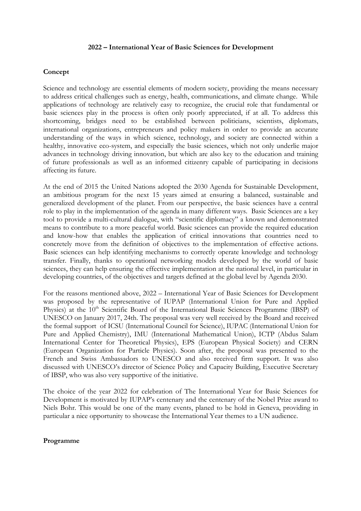## **2022 – International Year of Basic Sciences for Development**

### **Concept**

Science and technology are essential elements of modern society, providing the means necessary to address critical challenges such as energy, health, communications, and climate change. While applications of technology are relatively easy to recognize, the crucial role that fundamental or basic sciences play in the process is often only poorly appreciated, if at all. To address this shortcoming, bridges need to be established between politicians, scientists, diplomats, international organizations, entrepreneurs and policy makers in order to provide an accurate understanding of the ways in which science, technology, and society are connected within a healthy, innovative eco-system, and especially the basic sciences, which not only underlie major advances in technology driving innovation, but which are also key to the education and training of future professionals as well as an informed citizenry capable of participating in decisions affecting its future.

At the end of 2015 the United Nations adopted the 2030 Agenda for Sustainable Development, an ambitious program for the next 15 years aimed at ensuring a balanced, sustainable and generalized development of the planet. From our perspective, the basic sciences have a central role to play in the implementation of the agenda in many different ways. Basic Sciences are a key tool to provide a multi-cultural dialogue, with "scientific diplomacy" a known and demonstrated means to contribute to a more peaceful world. Basic sciences can provide the required education and know-how that enables the application of critical innovations that countries need to concretely move from the definition of objectives to the implementation of effective actions. Basic sciences can help identifying mechanisms to correctly operate knowledge and technology transfer. Finally, thanks to operational networking models developed by the world of basic sciences, they can help ensuring the effective implementation at the national level, in particular in developing countries, of the objectives and targets defined at the global level by Agenda 2030.

For the reasons mentioned above, 2022 – International Year of Basic Sciences for Development was proposed by the representative of IUPAP (International Union for Pure and Applied Physics) at the 10<sup>th</sup> Scientific Board of the International Basic Sciences Programme (IBSP) of UNESCO on January 2017, 24th. The proposal was very well received by the Board and received the formal support of ICSU (International Council for Science), IUPAC (International Union for Pure and Applied Chemistry), IMU (International Mathematical Union), ICTP (Abdus Salam International Center for Theoretical Physics), EPS (European Physical Society) and CERN (European Organization for Particle Physics). Soon after, the proposal was presented to the French and Swiss Ambassadors to UNESCO and also received firm support. It was also discussed with UNESCO's director of Science Policy and Capacity Building, Executive Secretary of IBSP, who was also very supportive of the initiative.

The choice of the year 2022 for celebration of The International Year for Basic Sciences for Development is motivated by IUPAP's centenary and the centenary of the Nobel Prize award to Niels Bohr. This would be one of the many events, planed to be hold in Geneva, providing in particular a nice opportunity to showcase the International Year themes to a UN audience.

#### **Programme**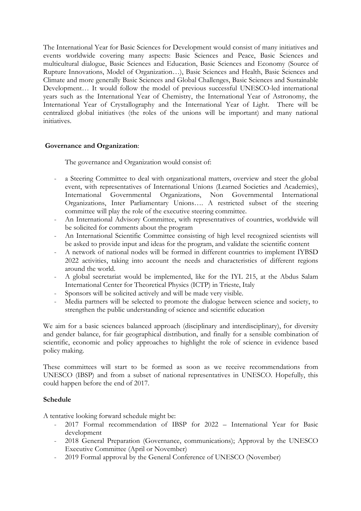The International Year for Basic Sciences for Development would consist of many initiatives and events worldwide covering many aspects: Basic Sciences and Peace, Basic Sciences and multicultural dialogue, Basic Sciences and Education, Basic Sciences and Economy (Source of Rupture Innovations, Model of Organization…), Basic Sciences and Health, Basic Sciences and Climate and more generally Basic Sciences and Global Challenges, Basic Sciences and Sustainable Development… It would follow the model of previous successful UNESCO-led international years such as the International Year of Chemistry, the International Year of Astronomy, the International Year of Crystallography and the International Year of Light. There will be centralized global initiatives (the roles of the unions will be important) and many national initiatives.

# **Governance and Organization**:

The governance and Organization would consist of:

- a Steering Committee to deal with organizational matters, overview and steer the global event, with representatives of International Unions (Learned Societies and Academies), International Governmental Organizations, Non Governmental International Organizations, Inter Parliamentary Unions…. A restricted subset of the steering committee will play the role of the executive steering committee.
- An International Advisory Committee, with representatives of countries, worldwide will be solicited for comments about the program
- An International Scientific Committee consisting of high level recognized scientists will be asked to provide input and ideas for the program, and validate the scientific content
- A network of national nodes will be formed in different countries to implement IYBSD 2022 activities, taking into account the needs and characteristics of different regions around the world.
- A global secretariat would be implemented, like for the IYL 215, at the Abdus Salam International Center for Theoretical Physics (ICTP) in Trieste, Italy
- Sponsors will be solicited actively and will be made very visible.
- Media partners will be selected to promote the dialogue between science and society, to strengthen the public understanding of science and scientific education

We aim for a basic sciences balanced approach (disciplinary and interdisciplinary), for diversity and gender balance, for fair geographical distribution, and finally for a sensible combination of scientific, economic and policy approaches to highlight the role of science in evidence based policy making.

These committees will start to be formed as soon as we receive recommendations from UNESCO (IBSP) and from a subset of national representatives in UNESCO. Hopefully, this could happen before the end of 2017.

## **Schedule**

A tentative looking forward schedule might be:

- 2017 Formal recommendation of IBSP for 2022 International Year for Basic development
- 2018 General Preparation (Governance, communications); Approval by the UNESCO Executive Committee (April or November)
- 2019 Formal approval by the General Conference of UNESCO (November)